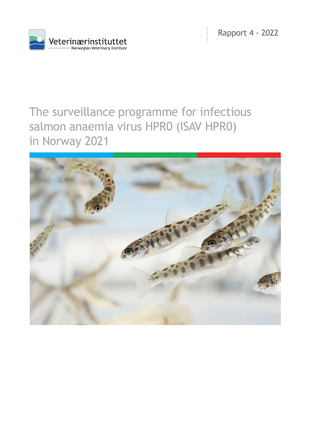



# The surveillance programme for infectious salmon anaemia virus HPR0 (ISAV HPR0) in Norway 2021

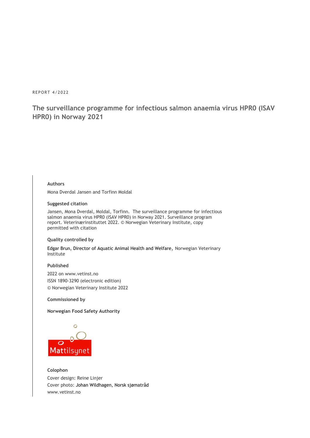#### REPORT 4/2022

### **The surveillance programme for infectious salmon anaemia virus HPR0 (ISAV HPR0) in Norway 2021**

#### **Authors**

Mona Dverdal Jansen and Torfinn Moldal

#### **Suggested citation**

Jansen, Mona Dverdal, Moldal, Torfinn. The surveillance programme for infectious salmon anaemia virus HPR0 (ISAV HPR0) in Norway 2021. Surveillance program report. Veterinærinstituttet 2022. © Norwegian Veterinary Institute, copy permitted with citation

#### **Quality controlled by**

Edgar Brun, Director of Aquatic Animal Health and Welfare, Norwegian Veterinary Institute

#### **Published**

2022 on www.vetinst.no ISSN 1890-3290 (electronic edition) © Norwegian Veterinary Institute 2022

### **Commissioned by**

**Norwegian Food Safety Authority** 



**Colophon**  Cover design: Reine Linjer Cover photo: Johan Wildhagen, Norsk sjømatråd www.vetinst.no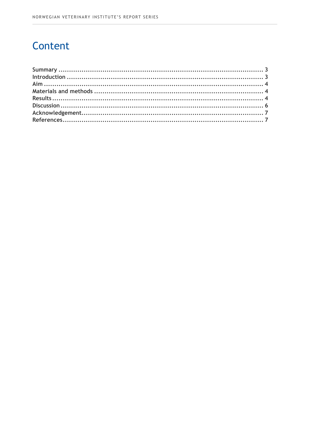## Content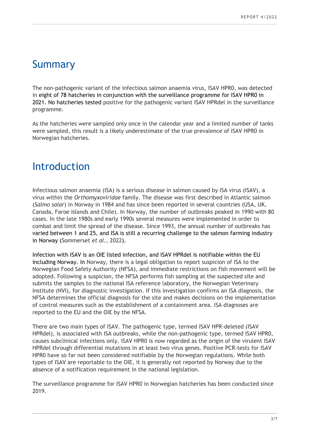### Summary

The non-pathogenic variant of the infectious salmon anaemia virus, ISAV HPR0, was detected in eight of 78 hatcheries in conjunction with the surveillance programme for ISAV HPR0 in 2021. No hatcheries tested positive for the pathogenic variant ISAV HPRdel in the surveillance programme.

As the hatcheries were sampled only once in the calendar year and a limited number of tanks were sampled, this result is a likely underestimate of the true prevalence of ISAV HPR0 in Norwegian hatcheries.

### Introduction

Infectious salmon anaemia (ISA) is a serious disease in salmon caused by ISA virus (ISAV), a virus within the *Orthomyxoviridae* family. The disease was first described in Atlantic salmon (*Salmo salar*) in Norway in 1984 and has since been reported in several countries (USA, UK, Canada, Faroe Islands and Chile). In Norway, the number of outbreaks peaked in 1990 with 80 cases. In the late 1980s and early 1990s several measures were implemented in order to combat and limit the spread of the disease. Since 1993, the annual number of outbreaks has varied between 1 and 25, and ISA is still a recurring challenge to the salmon farming industry in Norway (Sommerset *et al*., 2022).

Infection with ISAV is an OIE listed infection, and ISAV HPRdel is notifiable within the EU including Norway. In Norway, there is a legal obligation to report suspicion of ISA to the Norwegian Food Safety Authority (NFSA), and immediate restrictions on fish movement will be adopted. Following a suspicion, the NFSA performs fish sampling at the suspected site and submits the samples to the national ISA reference laboratory, the Norwegian Veterinary Institute (NVI), for diagnostic investigation. If this investigation confirms an ISA diagnosis, the NFSA determines the official diagnosis for the site and makes decisions on the implementation of control measures such as the establishment of a containment area. ISA diagnoses are reported to the EU and the OIE by the NFSA.

There are two main types of ISAV. The pathogenic type, termed ISAV HPR-deleted (ISAV HPRdel), is associated with ISA outbreaks, while the non-pathogenic type, termed ISAV HPR0, causes subclinical infections only. ISAV HPR0 is now regarded as the origin of the virulent ISAV HPRdel through differential mutations in at least two virus genes. Positive PCR-tests for ISAV HPR0 have so far not been considered notifiable by the Norwegian regulations. While both types of ISAV are reportable to the OIE, it is generally not reported by Norway due to the absence of a notification requirement in the national legislation.

The surveillance programme for ISAV HPR0 in Norwegian hatcheries has been conducted since 2019.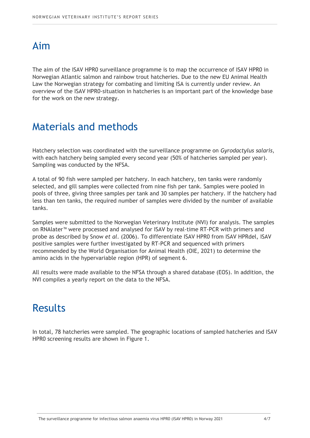## Aim

The aim of the ISAV HPR0 surveillance programme is to map the occurrence of ISAV HPR0 in Norwegian Atlantic salmon and rainbow trout hatcheries. Due to the new EU Animal Health Law the Norwegian strategy for combating and limiting ISA is currently under review. An overview of the ISAV HPR0-situation in hatcheries is an important part of the knowledge base for the work on the new strategy.

## Materials and methods

Hatchery selection was coordinated with the surveillance programme on *Gyrodactylus salaris*, with each hatchery being sampled every second year (50% of hatcheries sampled per year). Sampling was conducted by the NFSA.

A total of 90 fish were sampled per hatchery. In each hatchery, ten tanks were randomly selected, and gill samples were collected from nine fish per tank. Samples were pooled in pools of three, giving three samples per tank and 30 samples per hatchery. If the hatchery had less than ten tanks, the required number of samples were divided by the number of available tanks.

Samples were submitted to the Norwegian Veterinary Institute (NVI) for analysis. The samples on RNAlater™ were processed and analysed for ISAV by real-time RT-PCR with primers and probe as described by Snow *et al*. (2006). To differentiate ISAV HPR0 from ISAV HPRdel, ISAV positive samples were further investigated by RT-PCR and sequenced with primers recommended by the World Organisation for Animal Health (OIE, 2021) to determine the amino acids in the hypervariable region (HPR) of segment 6.

All results were made available to the NFSA through a shared database (EOS). In addition, the NVI compiles a yearly report on the data to the NFSA.

## Results

In total, 78 hatcheries were sampled. The geographic locations of sampled hatcheries and ISAV HPR0 screening results are shown in Figure 1.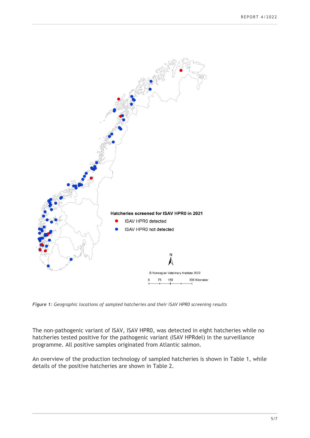

*Figure 1: Geographic locations of sampled hatcheries and their ISAV HPR0 screening results* 

The non-pathogenic variant of ISAV, ISAV HPR0, was detected in eight hatcheries while no hatcheries tested positive for the pathogenic variant (ISAV HPRdel) in the surveillance programme. All positive samples originated from Atlantic salmon.

An overview of the production technology of sampled hatcheries is shown in Table 1, while details of the positive hatcheries are shown in Table 2.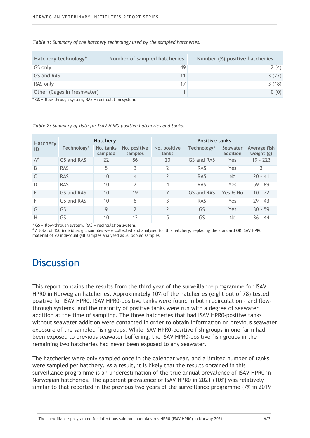| Hatchery technology*        | Number of sampled hatcheries | Number (%) positive hatcheries |
|-----------------------------|------------------------------|--------------------------------|
| GS only                     | 49                           | 2(4)                           |
| GS and RAS                  |                              | 3(27)                          |
| RAS only                    |                              | 3(18)                          |
| Other (Cages in freshwater) |                              | 0(0)                           |

*Table 1: Summary of the hatchery technology used by the sampled hatcheries.* 

\* GS = flow-through system, RAS = recirculation system.

*Table 2: Summary of data for ISAV HPR0-positive hatcheries and tanks.* 

| <b>Hatchery</b><br>ID | <b>Hatchery</b> |                      |                         | <b>Positive tanks</b> |             |                      |                            |
|-----------------------|-----------------|----------------------|-------------------------|-----------------------|-------------|----------------------|----------------------------|
|                       | Technology*     | No. tanks<br>sampled | No. positive<br>samples | No. positive<br>tanks | Technology* | Seawater<br>addition | Average fish<br>weight (g) |
| $A^{\#}$              | GS and RAS      | 22                   | 86                      | 20                    | GS and RAS  | Yes                  | $19 - 223$                 |
| B                     | <b>RAS</b>      | 5                    | 3                       | 2                     | <b>RAS</b>  | Yes                  | 3                          |
| $\mathsf{C}$          | <b>RAS</b>      | 10                   | $\overline{4}$          | $\overline{2}$        | <b>RAS</b>  | <b>No</b>            | $20 - 41$                  |
| D                     | <b>RAS</b>      | 10                   | 7                       | $\overline{4}$        | <b>RAS</b>  | Yes                  | $59 - 89$                  |
| E                     | GS and RAS      | 10                   | 19                      | 7                     | GS and RAS  | Yes & No             | $10 - 72$                  |
| F                     | GS and RAS      | 10                   | 6                       | 3                     | <b>RAS</b>  | Yes                  | $29 - 43$                  |
| G                     | GS              | 9                    | $\overline{2}$          | $\overline{2}$        | GS          | Yes                  | $30 - 59$                  |
| Н                     | GS              | 10                   | 12                      | 5                     | GS          | N <sub>o</sub>       | $36 - 44$                  |

 $*$  GS = flow-through system, RAS = recirculation system.

# A total of 150 individual gill samples were collected and analysed for this hatchery, replacing the standard OK ISAV HPR0 material of 90 individual gill samples analysed as 30 pooled samples

## **Discussion**

This report contains the results from the third year of the surveillance programme for ISAV HPR0 in Norwegian hatcheries. Approximately 10% of the hatcheries (eight out of 78) tested positive for ISAV HPR0. ISAV HPR0-positive tanks were found in both recirculation - and flowthrough systems, and the majority of positive tanks were run with a degree of seawater addition at the time of sampling. The three hatcheries that had ISAV HPR0-positive tanks without seawater addition were contacted in order to obtain information on previous seawater exposure of the sampled fish groups. While ISAV HPR0-positive fish groups in one farm had been exposed to previous seawater buffering, the ISAV HPR0-positive fish groups in the remaining two hatcheries had never been exposed to any seawater.

The hatcheries were only sampled once in the calendar year, and a limited number of tanks were sampled per hatchery. As a result, it is likely that the results obtained in this surveillance programme is an underestimation of the true annual prevalence of ISAV HPR0 in Norwegian hatcheries. The apparent prevalence of ISAV HPR0 in 2021 (10%) was relatively similar to that reported in the previous two years of the surveillance programme (7% in 2019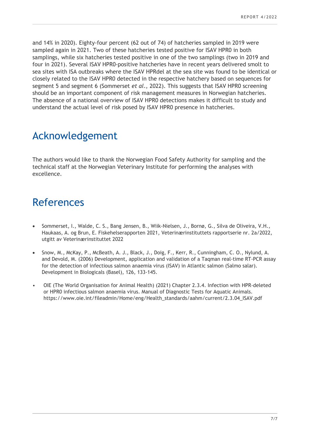and 14% in 2020). Eighty-four percent (62 out of 74) of hatcheries sampled in 2019 were sampled again in 2021. Two of these hatcheries tested positive for ISAV HPR0 in both samplings, while six hatcheries tested positive in one of the two samplings (two in 2019 and four in 2021). Several ISAV HPR0-positive hatcheries have in recent years delivered smolt to sea sites with ISA outbreaks where the ISAV HPRdel at the sea site was found to be identical or closely related to the ISAV HPR0 detected in the respective hatchery based on sequences for segment 5 and segment 6 (Sommerset *et al*., 2022). This suggests that ISAV HPR0 screening should be an important component of risk management measures in Norwegian hatcheries. The absence of a national overview of ISAV HPR0 detections makes it difficult to study and understand the actual level of risk posed by ISAV HPR0 presence in hatcheries.

## Acknowledgement

The authors would like to thank the Norwegian Food Safety Authority for sampling and the technical staff at the Norwegian Veterinary Institute for performing the analyses with excellence.

### References

- Sommerset, I., Walde, C. S., Bang Jensen, B., Wiik-Nielsen, J., Bornø, G., Silva de Oliveira, V.H., Haukaas, A. og Brun, E. Fiskehelserapporten 2021, Veterinærinstituttets rapportserie nr. 2a/2022, utgitt av Veterinærinstituttet 2022
- Snow, M., McKay, P., McBeath, A. J., Black, J., Doig, F., Kerr, R., Cunningham, C. O., Nylund, A. and Devold, M. (2006) Development, application and validation of a Taqman real-time RT-PCR assay for the detection of infectious salmon anaemia virus (ISAV) in Atlantic salmon (Salmo salar). Development in Biologicals (Basel), 126, 133-145.
- OIE (The World Organisation for Animal Health) (2021) Chapter 2.3.4. Infection with HPR-deleted or HPR0 infectious salmon anaemia virus. Manual of Diagnostic Tests for Aquatic Animals. https://www.oie.int/fileadmin/Home/eng/Health\_standards/aahm/current/2.3.04\_ISAV.pdf